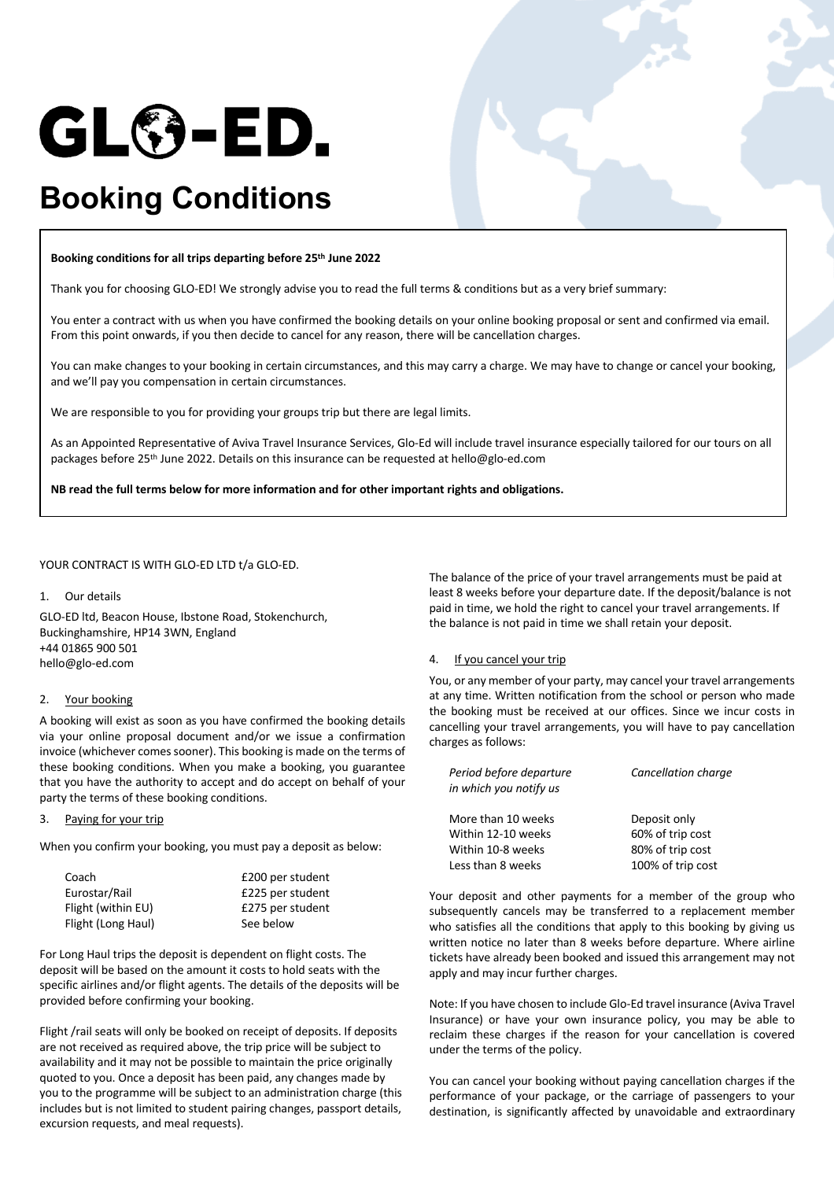

# **Booking Conditions**

#### **Booking conditions for all trips departing before 25th June 2022**

Thank you for choosing GLO-ED! We strongly advise you to read the full terms & conditions but as a very brief summary:

You enter a contract with us when you have confirmed the booking details on your online booking proposal or sent and confirmed via email. From this point onwards, if you then decide to cancel for any reason, there will be cancellation charges.

You can make changes to your booking in certain circumstances, and this may carry a charge. We may have to change or cancel your booking, and we'll pay you compensation in certain circumstances.

We are responsible to you for providing your groups trip but there are legal limits.

As an Appointed Representative of Aviva Travel Insurance Services, Glo-Ed will include travel insurance especially tailored for our tours on all packages before 25th June 2022. Details on this insurance can be requested at hello@glo-ed.com

**NB read the full terms below for more information and for other important rights and obligations.**

#### YOUR CONTRACT IS WITH GLO-ED LTD t/a GLO-ED.

#### 1. Our details

GLO-ED ltd, Beacon House, Ibstone Road, Stokenchurch, Buckinghamshire, HP14 3WN, England +44 01865 900 501 hello@glo-ed.com

## 2. Your booking

A booking will exist as soon as you have confirmed the booking details via your online proposal document and/or we issue a confirmation invoice (whichever comes sooner). This booking is made on the terms of these booking conditions. When you make a booking, you guarantee that you have the authority to accept and do accept on behalf of your party the terms of these booking conditions.

## 3. Paying for your trip

When you confirm your booking, you must pay a deposit as below:

| Coach              | £200 per student |
|--------------------|------------------|
| Eurostar/Rail      | £225 per student |
| Flight (within EU) | £275 per student |
| Flight (Long Haul) | See below        |

For Long Haul trips the deposit is dependent on flight costs. The deposit will be based on the amount it costs to hold seats with the specific airlines and/or flight agents. The details of the deposits will be provided before confirming your booking.

Flight /rail seats will only be booked on receipt of deposits. If deposits are not received as required above, the trip price will be subject to availability and it may not be possible to maintain the price originally quoted to you. Once a deposit has been paid, any changes made by you to the programme will be subject to an administration charge (this includes but is not limited to student pairing changes, passport details, excursion requests, and meal requests).

The balance of the price of your travel arrangements must be paid at least 8 weeks before your departure date. If the deposit/balance is not paid in time, we hold the right to cancel your travel arrangements. If the balance is not paid in time we shall retain your deposit.

## 4. If you cancel your trip

You, or any member of your party, may cancel your travel arrangements at any time. Written notification from the school or person who made the booking must be received at our offices. Since we incur costs in cancelling your travel arrangements, you will have to pay cancellation charges as follows:

| Period before departure<br>in which you notify us | Cancellation charge |
|---------------------------------------------------|---------------------|
| More than 10 weeks                                | Deposit only        |
| Within 12-10 weeks                                | 60% of trip cost    |
| Within 10-8 weeks                                 | 80% of trip cost    |
| Less than 8 weeks                                 | 100% of trip cost   |

Your deposit and other payments for a member of the group who subsequently cancels may be transferred to a replacement member who satisfies all the conditions that apply to this booking by giving us written notice no later than 8 weeks before departure. Where airline tickets have already been booked and issued this arrangement may not apply and may incur further charges.

Note: If you have chosen to include Glo-Ed travel insurance (Aviva Travel Insurance) or have your own insurance policy, you may be able to reclaim these charges if the reason for your cancellation is covered under the terms of the policy.

You can cancel your booking without paying cancellation charges if the performance of your package, or the carriage of passengers to your destination, is significantly affected by unavoidable and extraordinary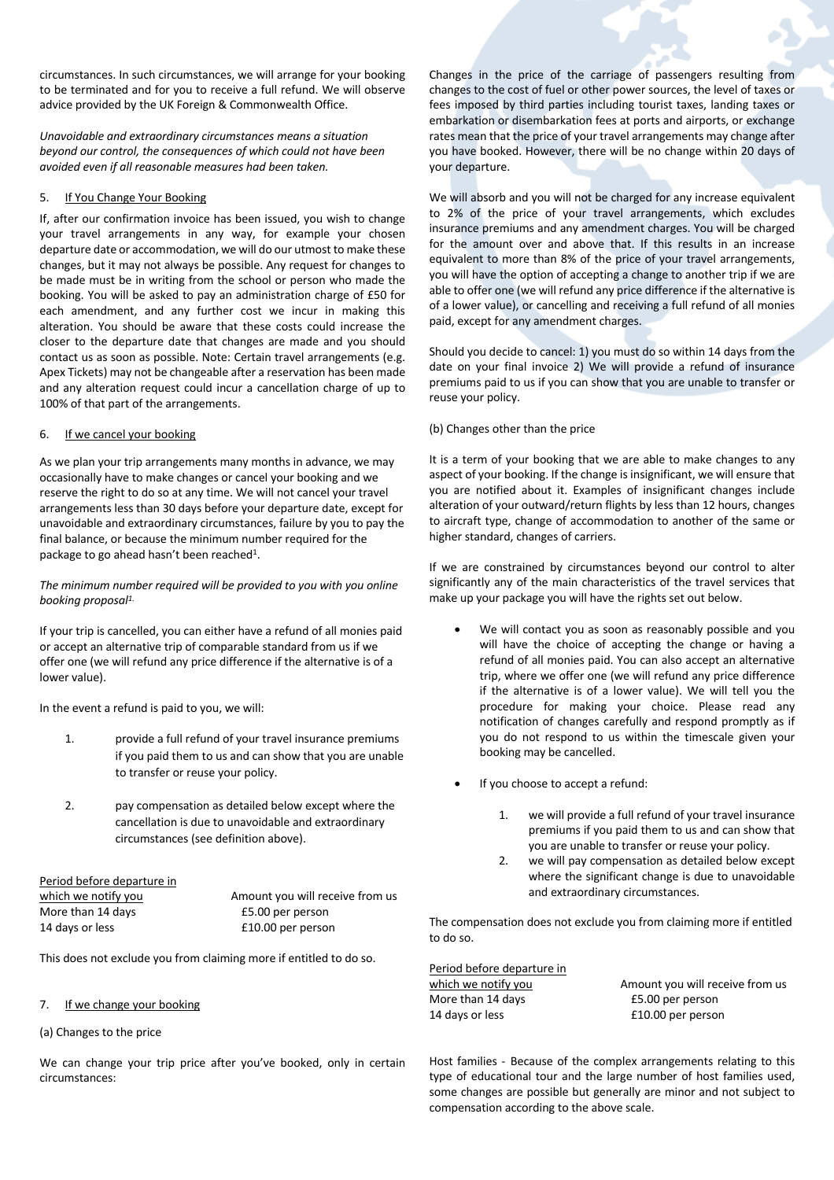circumstances. In such circumstances, we will arrange for your booking to be terminated and for you to receive a full refund. We will observe advice provided by the UK Foreign & Commonwealth Office.

*Unavoidable and extraordinary circumstances means a situation beyond our control, the consequences of which could not have been avoided even if all reasonable measures had been taken.*

## 5. If You Change Your Booking

If, after our confirmation invoice has been issued, you wish to change your travel arrangements in any way, for example your chosen departure date or accommodation, we will do our utmost to make these changes, but it may not always be possible. Any request for changes to be made must be in writing from the school or person who made the booking. You will be asked to pay an administration charge of £50 for each amendment, and any further cost we incur in making this alteration. You should be aware that these costs could increase the closer to the departure date that changes are made and you should contact us as soon as possible. Note: Certain travel arrangements (e.g. Apex Tickets) may not be changeable after a reservation has been made and any alteration request could incur a cancellation charge of up to 100% of that part of the arrangements.

# 6. If we cancel your booking

As we plan your trip arrangements many months in advance, we may occasionally have to make changes or cancel your booking and we reserve the right to do so at any time. We will not cancel your travel arrangements less than 30 days before your departure date, except for unavoidable and extraordinary circumstances, failure by you to pay the final balance, or because the minimum number required for the package to go ahead hasn't been reached<sup>1</sup>.

*The minimum number required will be provided to you with you online booking proposal1.* 

If your trip is cancelled, you can either have a refund of all monies paid or accept an alternative trip of comparable standard from us if we offer one (we will refund any price difference if the alternative is of a lower value).

In the event a refund is paid to you, we will:

- 1. provide a full refund of your travel insurance premiums if you paid them to us and can show that you are unable to transfer or reuse your policy.
- 2. pay compensation as detailed below except where the cancellation is due to unavoidable and extraordinary circumstances (see definition above).

Period before departure in More than 14 days E5.00 per person 14 days or less E10.00 per person

which we notify you **Amount you will receive from us** 

This does not exclude you from claiming more if entitled to do so.

## If we change your booking

## (a) Changes to the price

We can change your trip price after you've booked, only in certain circumstances:

Changes in the price of the carriage of passengers resulting from changes to the cost of fuel or other power sources, the level of taxes or fees imposed by third parties including tourist taxes, landing taxes or embarkation or disembarkation fees at ports and airports, or exchange rates mean that the price of your travel arrangements may change after you have booked. However, there will be no change within 20 days of your departure.

We will absorb and you will not be charged for any increase equivalent to 2% of the price of your travel arrangements, which excludes insurance premiums and any amendment charges. You will be charged for the amount over and above that. If this results in an increase equivalent to more than 8% of the price of your travel arrangements, you will have the option of accepting a change to another trip if we are able to offer one (we will refund any price difference if the alternative is of a lower value), or cancelling and receiving a full refund of all monies paid, except for any amendment charges.

Should you decide to cancel: 1) you must do so within 14 days from the date on your final invoice 2) We will provide a refund of insurance premiums paid to us if you can show that you are unable to transfer or reuse your policy.

## (b) Changes other than the price

It is a term of your booking that we are able to make changes to any aspect of your booking. If the change is insignificant, we will ensure that you are notified about it. Examples of insignificant changes include alteration of your outward/return flights by less than 12 hours, changes to aircraft type, change of accommodation to another of the same or higher standard, changes of carriers.

If we are constrained by circumstances beyond our control to alter significantly any of the main characteristics of the travel services that make up your package you will have the rights set out below.

- We will contact you as soon as reasonably possible and you will have the choice of accepting the change or having a refund of all monies paid. You can also accept an alternative trip, where we offer one (we will refund any price difference if the alternative is of a lower value). We will tell you the procedure for making your choice. Please read any notification of changes carefully and respond promptly as if you do not respond to us within the timescale given your booking may be cancelled.
- If you choose to accept a refund:
	- 1. we will provide a full refund of your travel insurance premiums if you paid them to us and can show that you are unable to transfer or reuse your policy.
	- 2. we will pay compensation as detailed below except where the significant change is due to unavoidable and extraordinary circumstances.

The compensation does not exclude you from claiming more if entitled to do so.

Period before departure in which we notify you and amount you will receive from us

More than 14 days E5.00 per person 14 days or less E10.00 per person

Host families - Because of the complex arrangements relating to this type of educational tour and the large number of host families used, some changes are possible but generally are minor and not subject to compensation according to the above scale.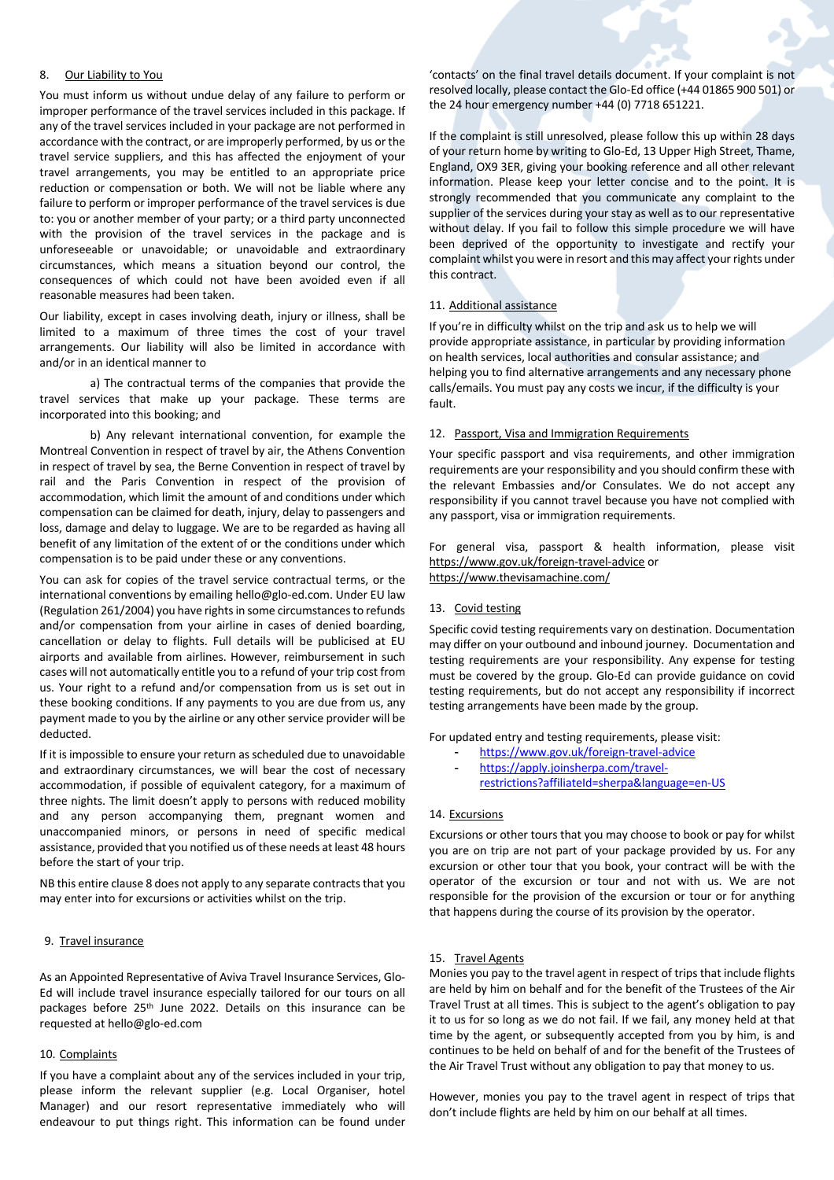#### 8. Our Liability to You

You must inform us without undue delay of any failure to perform or improper performance of the travel services included in this package. If any of the travel services included in your package are not performed in accordance with the contract, or are improperly performed, by us or the travel service suppliers, and this has affected the enjoyment of your travel arrangements, you may be entitled to an appropriate price reduction or compensation or both. We will not be liable where any failure to perform or improper performance of the travel services is due to: you or another member of your party; or a third party unconnected with the provision of the travel services in the package and is unforeseeable or unavoidable; or unavoidable and extraordinary circumstances, which means a situation beyond our control, the consequences of which could not have been avoided even if all reasonable measures had been taken.

Our liability, except in cases involving death, injury or illness, shall be limited to a maximum of three times the cost of your travel arrangements. Our liability will also be limited in accordance with and/or in an identical manner to

a) The contractual terms of the companies that provide the travel services that make up your package. These terms are incorporated into this booking; and

b) Any relevant international convention, for example the Montreal Convention in respect of travel by air, the Athens Convention in respect of travel by sea, the Berne Convention in respect of travel by rail and the Paris Convention in respect of the provision of accommodation, which limit the amount of and conditions under which compensation can be claimed for death, injury, delay to passengers and loss, damage and delay to luggage. We are to be regarded as having all benefit of any limitation of the extent of or the conditions under which compensation is to be paid under these or any conventions.

You can ask for copies of the travel service contractual terms, or the international conventions by emailing hello@glo-ed.com. Under EU law (Regulation 261/2004) you have rights in some circumstances to refunds and/or compensation from your airline in cases of denied boarding, cancellation or delay to flights. Full details will be publicised at EU airports and available from airlines. However, reimbursement in such cases will not automatically entitle you to a refund of your trip cost from us. Your right to a refund and/or compensation from us is set out in these booking conditions. If any payments to you are due from us, any payment made to you by the airline or any other service provider will be deducted.

If it is impossible to ensure your return as scheduled due to unavoidable and extraordinary circumstances, we will bear the cost of necessary accommodation, if possible of equivalent category, for a maximum of three nights. The limit doesn't apply to persons with reduced mobility and any person accompanying them, pregnant women and unaccompanied minors, or persons in need of specific medical assistance, provided that you notified us of these needs at least 48 hours before the start of your trip.

NB this entire clause 8 does not apply to any separate contracts that you may enter into for excursions or activities whilst on the trip.

## 9. Travel insurance

As an Appointed Representative of Aviva Travel Insurance Services, Glo-Ed will include travel insurance especially tailored for our tours on all packages before 25th June 2022. Details on this insurance can be requested at hello@glo-ed.com

#### 10. Complaints

If you have a complaint about any of the services included in your trip, please inform the relevant supplier (e.g. Local Organiser, hotel Manager) and our resort representative immediately who will endeavour to put things right. This information can be found under 'contacts' on the final travel details document. If your complaint is not resolved locally, please contact the Glo-Ed office (+44 01865 900 501) or the 24 hour emergency number +44 (0) 7718 651221.

If the complaint is still unresolved, please follow this up within 28 days of your return home by writing to Glo-Ed, 13 Upper High Street, Thame, England, OX9 3ER, giving your booking reference and all other relevant information. Please keep your letter concise and to the point. It is strongly recommended that you communicate any complaint to the supplier of the services during your stay as well as to our representative without delay. If you fail to follow this simple procedure we will have been deprived of the opportunity to investigate and rectify your complaint whilst you were in resort and this may affect your rights under this contract.

#### 11. Additional assistance

If you're in difficulty whilst on the trip and ask us to help we will provide appropriate assistance, in particular by providing information on health services, local authorities and consular assistance; and helping you to find alternative arrangements and any necessary phone calls/emails. You must pay any costs we incur, if the difficulty is your fault.

#### 12. Passport, Visa and Immigration Requirements

Your specific passport and visa requirements, and other immigration requirements are your responsibility and you should confirm these with the relevant Embassies and/or Consulates. We do not accept any responsibility if you cannot travel because you have not complied with any passport, visa or immigration requirements.

For general visa, passport & health information, please visit https://www.gov.uk/foreign-travel-advice or https://www.thevisamachine.com/

#### 13. Covid testing

Specific covid testing requirements vary on destination. Documentation may differ on your outbound and inbound journey. Documentation and testing requirements are your responsibility. Any expense for testing must be covered by the group. Glo-Ed can provide guidance on covid testing requirements, but do not accept any responsibility if incorrect testing arrangements have been made by the group.

For updated entry and testing requirements, please visit:

- https://www.gov.uk/foreign-travel-advice
- https://apply.joinsherpa.com/travel-
- restrictions?affiliateId=sherpa&language=en-US

## 14. Excursions

Excursions or other tours that you may choose to book or pay for whilst you are on trip are not part of your package provided by us. For any excursion or other tour that you book, your contract will be with the operator of the excursion or tour and not with us. We are not responsible for the provision of the excursion or tour or for anything that happens during the course of its provision by the operator.

#### 15. Travel Agents

Monies you pay to the travel agent in respect of trips that include flights are held by him on behalf and for the benefit of the Trustees of the Air Travel Trust at all times. This is subject to the agent's obligation to pay it to us for so long as we do not fail. If we fail, any money held at that time by the agent, or subsequently accepted from you by him, is and continues to be held on behalf of and for the benefit of the Trustees of the Air Travel Trust without any obligation to pay that money to us.

However, monies you pay to the travel agent in respect of trips that don't include flights are held by him on our behalf at all times.